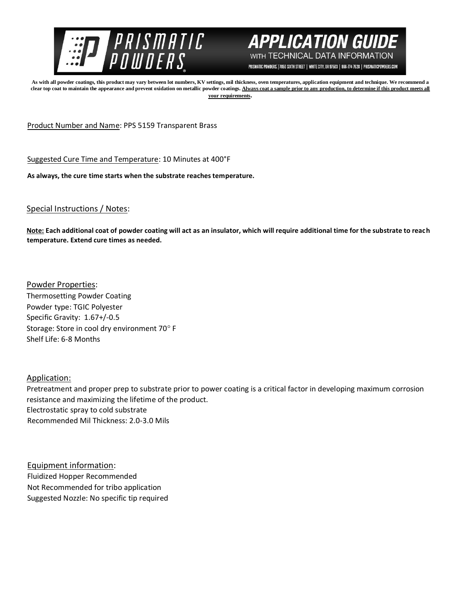



PRISMATIC POWDERS. | 7050 SIXTH STREET | WHITE CITY, OR 97503 | 866-774-7628 | PRISMATICPOWDERS.COM

**As with all powder coatings, this product may vary between lot numbers, KV settings, mil thickness, oven temperatures, application equipment and technique. We recommend a**  clear top coat to maintain the appearance and prevent oxidation on metallic powder coatings. Always coat a sample prior to any production, to determine if this product meets all **your requirements.** 

Product Number and Name: PPS 5159 Transparent Brass

Suggested Cure Time and Temperature: 10 Minutes at 400°F

**As always, the cure time starts when the substrate reaches temperature.**

Special Instructions / Notes:

**Note: Each additional coat of powder coating will act as an insulator, which will require additional time for the substrate to reach temperature. Extend cure times as needed.** 

Powder Properties: Thermosetting Powder Coating Powder type: TGIC Polyester Specific Gravity: 1.67+/-0.5 Storage: Store in cool dry environment 70° F Shelf Life: 6-8 Months

Application:

Pretreatment and proper prep to substrate prior to power coating is a critical factor in developing maximum corrosion resistance and maximizing the lifetime of the product. Electrostatic spray to cold substrate Recommended Mil Thickness: 2.0-3.0 Mils

Equipment information: Fluidized Hopper Recommended Not Recommended for tribo application Suggested Nozzle: No specific tip required